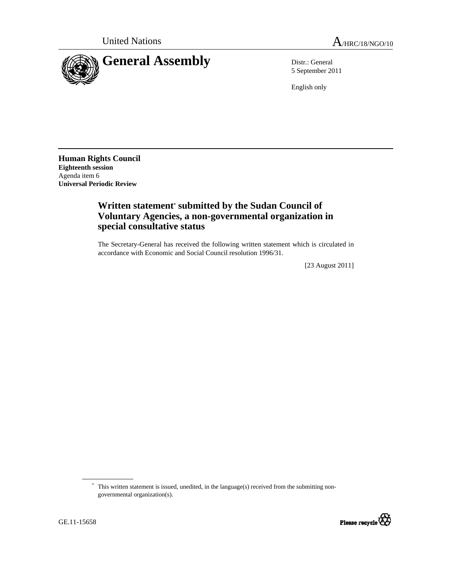

5 September 2011

English only

**Human Rights Council Eighteenth session**  Agenda item 6 **Universal Periodic Review** 

## **Written statement\* submitted by the Sudan Council of Voluntary Agencies, a non-governmental organization in special consultative status**

The Secretary-General has received the following written statement which is circulated in accordance with Economic and Social Council resolution 1996/31.

[23 August 2011]

<sup>\*</sup> This written statement is issued, unedited, in the language(s) received from the submitting nongovernmental organization(s).